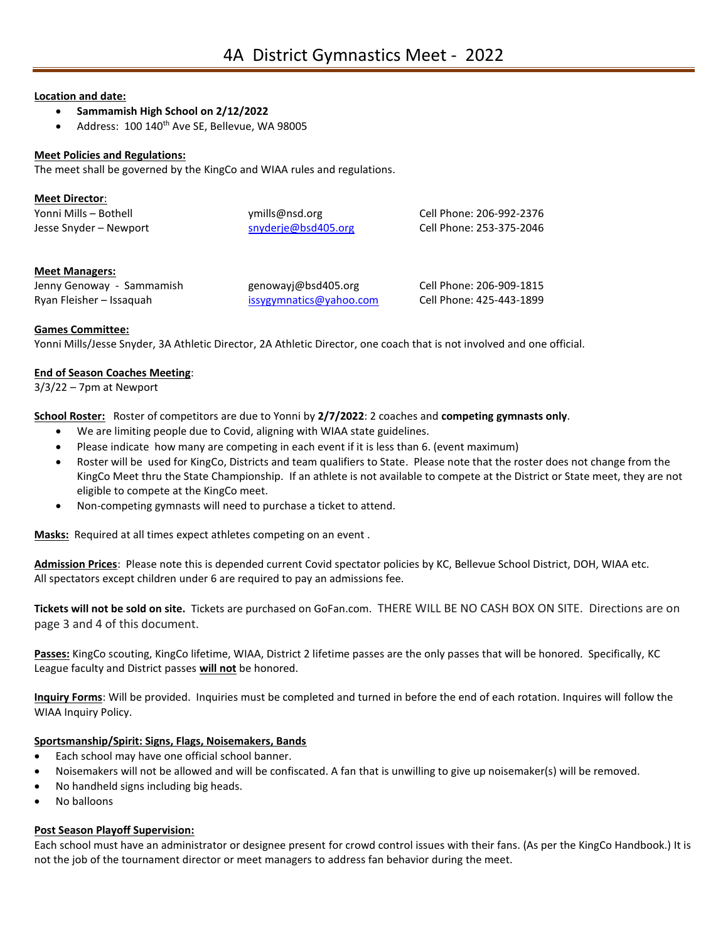#### **Location and date:**

- **Sammamish High School on 2/12/2022**
- Address: 100 140<sup>th</sup> Ave SE, Bellevue, WA 98005

#### **Meet Policies and Regulations:**

The meet shall be governed by the KingCo and WIAA rules and regulations.

| <b>Meet Director:</b>  |                     |                          |
|------------------------|---------------------|--------------------------|
| Yonni Mills – Bothell  | ymills@nsd.org      | Cell Phone: 206-992-2376 |
| Jesse Snyder – Newport | snyderje@bsd405.org | Cell Phone: 253-375-2046 |

#### **Meet Managers:**

| Jenny Genoway - Sammamish | genowayj@bsd405.org     | Cell Phone: 206-909-1815 |
|---------------------------|-------------------------|--------------------------|
| Ryan Fleisher – Issaguah  | issygymnatics@yahoo.com | Cell Phone: 425-443-1899 |

#### **Games Committee:**

Yonni Mills/Jesse Snyder, 3A Athletic Director, 2A Athletic Director, one coach that is not involved and one official.

#### **End of Season Coaches Meeting**:

 $3/3/22 - 7$ pm at Newport

**School Roster:** Roster of competitors are due to Yonni by **2/7/2022**: 2 coaches and **competing gymnasts only**.

- We are limiting people due to Covid, aligning with WIAA state guidelines.
- Please indicate how many are competing in each event if it is less than 6. (event maximum)
- Roster will be used for KingCo, Districts and team qualifiers to State. Please note that the roster does not change from the KingCo Meet thru the State Championship. If an athlete is not available to compete at the District or State meet, they are not eligible to compete at the KingCo meet.
- Non-competing gymnasts will need to purchase a ticket to attend.

**Masks:** Required at all times expect athletes competing on an event .

**Admission Prices**: Please note this is depended current Covid spectator policies by KC, Bellevue School District, DOH, WIAA etc. All spectators except children under 6 are required to pay an admissions fee.

**Tickets will not be sold on site.** Tickets are purchased on GoFan.com. THERE WILL BE NO CASH BOX ON SITE. Directions are on page 3 and 4 of this document.

**Passes:** KingCo scouting, KingCo lifetime, WIAA, District 2 lifetime passes are the only passes that will be honored. Specifically, KC League faculty and District passes **will not** be honored.

**Inquiry Forms**: Will be provided. Inquiries must be completed and turned in before the end of each rotation. Inquires will follow the WIAA Inquiry Policy.

#### **Sportsmanship/Spirit: Signs, Flags, Noisemakers, Bands**

- Each school may have one official school banner.
- Noisemakers will not be allowed and will be confiscated. A fan that is unwilling to give up noisemaker(s) will be removed.
- No handheld signs including big heads.
- No balloons

#### **Post Season Playoff Supervision:**

Each school must have an administrator or designee present for crowd control issues with their fans. (As per the KingCo Handbook.) It is not the job of the tournament director or meet managers to address fan behavior during the meet.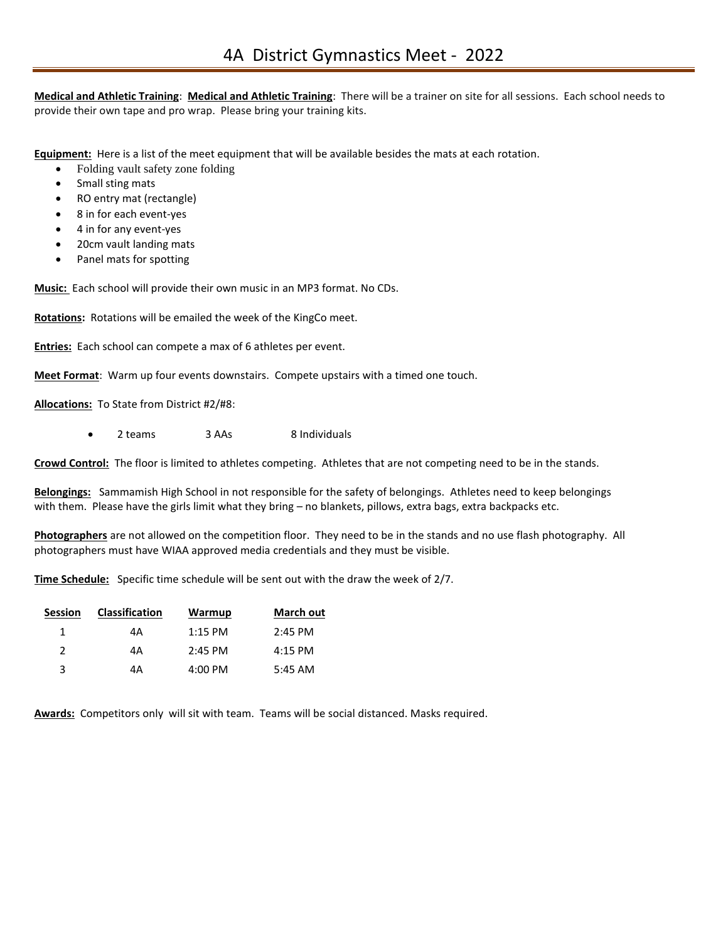**Medical and Athletic Training**: **Medical and Athletic Training**: There will be a trainer on site for all sessions. Each school needs to provide their own tape and pro wrap. Please bring your training kits.

**Equipment:** Here is a list of the meet equipment that will be available besides the mats at each rotation.

- Folding vault safety zone folding
- Small sting mats
- RO entry mat (rectangle)
- 8 in for each event-yes
- 4 in for any event-yes
- 20cm vault landing mats
- Panel mats for spotting

**Music:** Each school will provide their own music in an MP3 format. No CDs.

**Rotations:** Rotations will be emailed the week of the KingCo meet.

**Entries:** Each school can compete a max of 6 athletes per event.

**Meet Format**: Warm up four events downstairs. Compete upstairs with a timed one touch.

**Allocations:** To State from District #2/#8:

• 2 teams 3 AAs 8 Individuals

**Crowd Control:** The floor is limited to athletes competing. Athletes that are not competing need to be in the stands.

**Belongings:** Sammamish High School in not responsible for the safety of belongings. Athletes need to keep belongings with them. Please have the girls limit what they bring – no blankets, pillows, extra bags, extra backpacks etc.

**Photographers** are not allowed on the competition floor. They need to be in the stands and no use flash photography. All photographers must have WIAA approved media credentials and they must be visible.

**Time Schedule:** Specific time schedule will be sent out with the draw the week of 2/7.

| <b>Session</b> | <b>Classification</b> | Warmup            | <b>March out</b> |
|----------------|-----------------------|-------------------|------------------|
| 1              | 4А                    | $1:15$ PM         | $2:45$ PM        |
| $\mathcal{P}$  | 4А                    | $2:45$ PM         | $4:15$ PM        |
| 3              | 4А                    | $4:00 \text{ PM}$ | $5:45$ AM        |

**Awards:** Competitors only will sit with team. Teams will be social distanced. Masks required.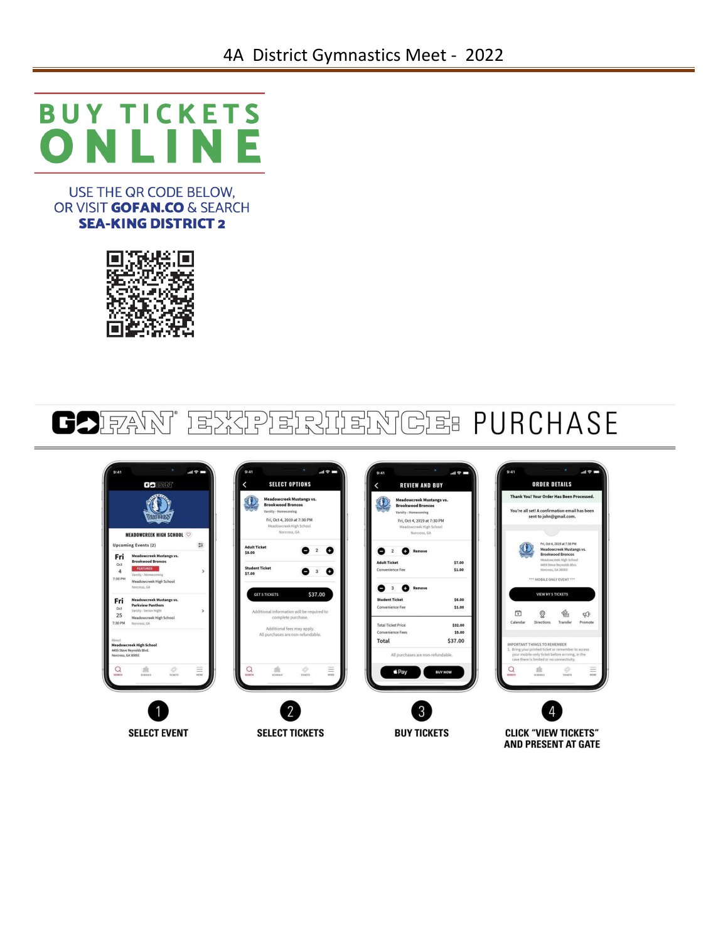### **BUY TICKETS** Е N a sa n

USE THE QR CODE BELOW. OR VISIT **GOFAN.CO** & SEARCH **SEA-KING DISTRICT 2** 



# **GOIFAN**' EXPERIENCE PURCHASE